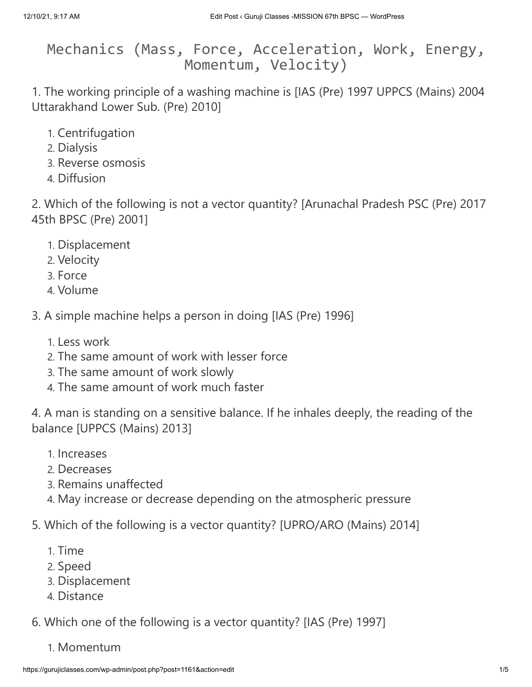Mechanics (Mass, Force, Acceleration, Work, Energy, Momentum, Velocity)

1. The working principle of a washing machine is [IAS (Pre) 1997 UPPCS (Mains) 2004 Uttarakhand Lower Sub. (Pre) 2010]

- 1. Centrifugation
- 2. Dialysis
- 3. Reverse osmosis
- 4. Diffusion

2. Which of the following is not a vector quantity? [Arunachal Pradesh PSC (Pre) 2017 45th BPSC (Pre) 2001]

- 1. Displacement
- 2. Velocity
- 3. Force
- 4. Volume
- 3. A simple machine helps a person in doing [IAS (Pre) 1996]
	- 1. Less work
	- 2. The same amount of work with lesser force
	- 3. The same amount of work slowly
	- 4. The same amount of work much faster

4. A man is standing on a sensitive balance. If he inhales deeply, the reading of the balance [UPPCS (Mains) 2013]

- 1. Increases
- 2. Decreases
- 3. Remains unaffected
- 4. May increase or decrease depending on the atmospheric pressure
- 5. Which of the following is a vector quantity? [UPRO/ARO (Mains) 2014]
	- 1. Time
	- 2. Speed
	- 3. Displacement
	- 4. Distance
- 6. Which one of the following is a vector quantity? [IAS (Pre) 1997]
	- 1. Momentum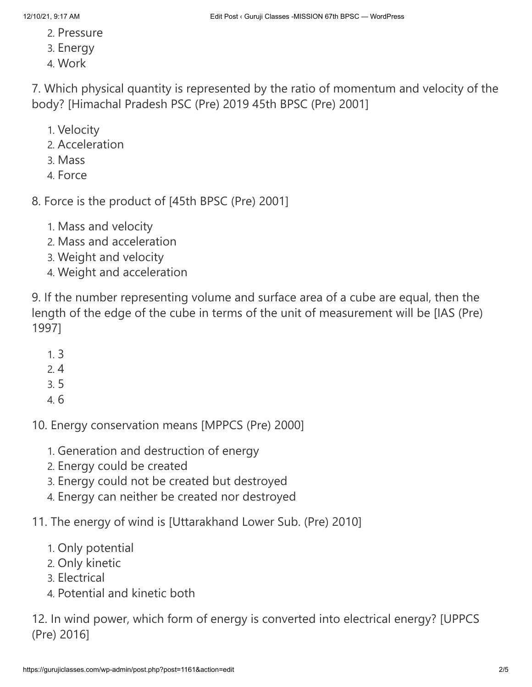- 2. Pressure
- 3. Energy
- 4. Work

7. Which physical quantity is represented by the ratio of momentum and velocity of the body? [Himachal Pradesh PSC (Pre) 2019 45th BPSC (Pre) 2001]

- 1. Velocity
- 2. Acceleration
- 3. Mass
- 4. Force

8. Force is the product of [45th BPSC (Pre) 2001]

- 1. Mass and velocity
- 2. Mass and acceleration
- 3. Weight and velocity
- 4. Weight and acceleration

9. If the number representing volume and surface area of a cube are equal, then the length of the edge of the cube in terms of the unit of measurement will be [IAS (Pre) 1997]

- 1. 3
- 2. 4
- 3. 5
- 4. 6

10. Energy conservation means [MPPCS (Pre) 2000]

- 1. Generation and destruction of energy
- 2. Energy could be created
- 3. Energy could not be created but destroyed
- 4. Energy can neither be created nor destroyed
- 11. The energy of wind is [Uttarakhand Lower Sub. (Pre) 2010]
	- 1. Only potential
	- 2. Only kinetic
	- 3. Electrical
	- 4. Potential and kinetic both

12. In wind power, which form of energy is converted into electrical energy? [UPPCS (Pre) 2016]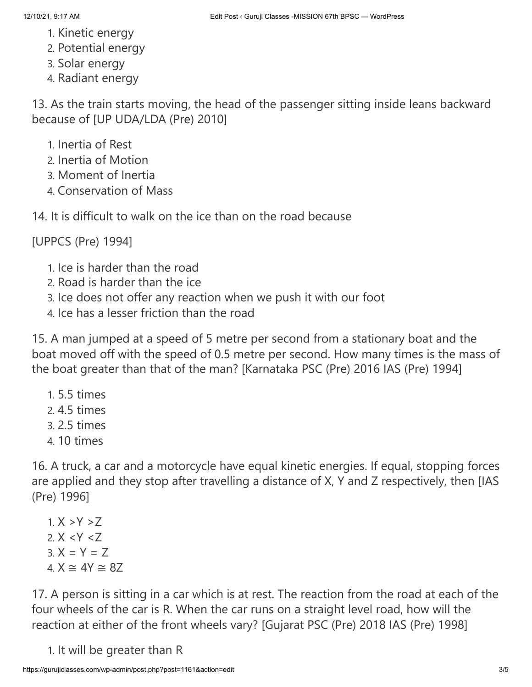- 1. Kinetic energy
- 2. Potential energy
- 3. Solar energy
- 4. Radiant energy

13. As the train starts moving, the head of the passenger sitting inside leans backward because of [UP UDA/LDA (Pre) 2010]

- 1. Inertia of Rest
- 2. Inertia of Motion
- 3. Moment of Inertia
- 4. Conservation of Mass

14. It is difficult to walk on the ice than on the road because

[UPPCS (Pre) 1994]

- 1. Ice is harder than the road
- 2. Road is harder than the ice
- 3. Ice does not offer any reaction when we push it with our foot
- 4. Ice has a lesser friction than the road

15. A man jumped at a speed of 5 metre per second from a stationary boat and the boat moved off with the speed of 0.5 metre per second. How many times is the mass of the boat greater than that of the man? [Karnataka PSC (Pre) 2016 IAS (Pre) 1994]

- 1. 5.5 times
- 2. 4.5 times
- 3. 2.5 times
- 4. 10 times

16. A truck, a car and a motorcycle have equal kinetic energies. If equal, stopping forces are applied and they stop after travelling a distance of X, Y and Z respectively, then [IAS (Pre) 1996]

1.  $X > Y > Z$ 2.  $X < Y < Z$  $3. X = Y = Z$ 4.  $X \cong 4Y \cong 8Z$ 

17. A person is sitting in a car which is at rest. The reaction from the road at each of the four wheels of the car is R. When the car runs on a straight level road, how will the reaction at either of the front wheels vary? [Gujarat PSC (Pre) 2018 IAS (Pre) 1998]

1. It will be greater than R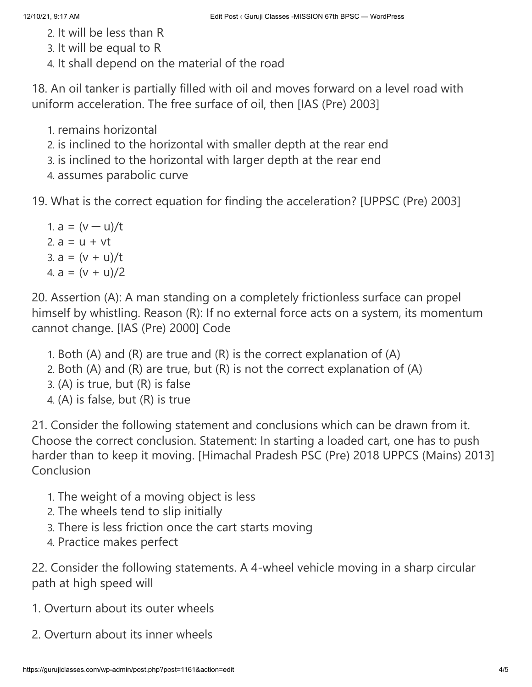- 2. It will be less than R
- 3. It will be equal to R
- 4. It shall depend on the material of the road

18. An oil tanker is partially filled with oil and moves forward on a level road with uniform acceleration. The free surface of oil, then [IAS (Pre) 2003]

1. remains horizontal

2. is inclined to the horizontal with smaller depth at the rear end

3. is inclined to the horizontal with larger depth at the rear end

4. assumes parabolic curve

19. What is the correct equation for finding the acceleration? [UPPSC (Pre) 2003]

1.  $a = (v - u)/t$ 2.  $a = u + vt$ 3.  $a = (v + u)/t$ 4.  $a = (v + u)/2$ 

20. Assertion (A): A man standing on a completely frictionless surface can propel himself by whistling. Reason (R): If no external force acts on a system, its momentum cannot change. [IAS (Pre) 2000] Code

- 1. Both (A) and (R) are true and (R) is the correct explanation of (A)
- 2. Both (A) and (R) are true, but (R) is not the correct explanation of (A)
- 3. (A) is true, but (R) is false
- 4. (A) is false, but (R) is true

21. Consider the following statement and conclusions which can be drawn from it. Choose the correct conclusion. Statement: In starting a loaded cart, one has to push harder than to keep it moving. [Himachal Pradesh PSC (Pre) 2018 UPPCS (Mains) 2013] Conclusion

- 1. The weight of a moving object is less
- 2. The wheels tend to slip initially
- 3. There is less friction once the cart starts moving
- 4. Practice makes perfect

22. Consider the following statements. A 4-wheel vehicle moving in a sharp circular path at high speed will

- 1. Overturn about its outer wheels
- 2. Overturn about its inner wheels